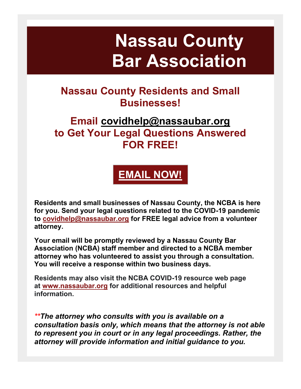# **Nassau County Bar Association**

# **Nassau County Residents and Small Businesses!**

### **Email [covidhelp@nassaubar.org](mailto:covidhelp@nassaubar.org) to Get Your Legal Questions Answered FOR FREE!**



**Residents and small businesses of Nassau County, the NCBA is here for you. Send your legal questions related to the COVID-19 pandemic to [covidhelp@nassaubar.org](mailto:covidhelp@nassaubar.org) for FREE legal advice from a volunteer attorney.**

**Your email will be promptly reviewed by a Nassau County Bar Association (NCBA) staff member and directed to a NCBA member attorney who has volunteered to assist you through a consultation. You will receive a response within two business days.**

**Residents may also visit the NCBA COVID-19 resource web page at [www.nassaubar.org](http://r20.rs6.net/tn.jsp?f=0011znZwJIEqpSGQYZIGtqoRckjz31juPtwsguscL11LG1DIy7MjtlHMgWcrfkYjMIKvq05sKlThdQtd3P8mEe_qObRbr6YDTyVto1AYbxkklAnozn64eE-P2izoXBTlrvOUASXtymFfzmfomeZZE7f88k7YhlsMnkgXpZZA7NO81O9c791ab3VOH0OqC6hCSaAlOk8eAMwC3I=&c=ckV1gk2ZRrjtR3Q8Ip5FivDZbmJKqhVVsCgj49gcWcPxewhbb90QxQ==&ch=98HDCQ_pX_EY3mIKH5aCphSd2waQ0fzCZScUi94zKgLleEUBMy_lKg==) for additional resources and helpful information.**

*\*\*The attorney who consults with you is available on a consultation basis only, which means that the attorney is not able to represent you in court or in any legal proceedings. Rather, the attorney will provide information and initial guidance to you.*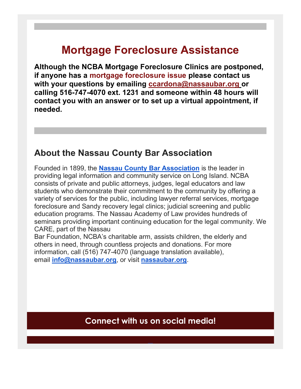# **Mortgage Foreclosure Assistance**

**Although the NCBA Mortgage Foreclosure Clinics are postponed, if anyone has a mortgage foreclosure issue please contact us with your questions by emailing [ccardona@nassaubar.org](mailto:ccardona@nassaubar.org) or calling 516-747-4070 ext. 1231 and someone within 48 hours will contact you with an answer or to set up a virtual appointment, if needed.**

#### **About the Nassau County Bar Association**

Founded in 1899, the **[Nassau County Bar Association](http://r20.rs6.net/tn.jsp?f=0011znZwJIEqpSGQYZIGtqoRckjz31juPtwsguscL11LG1DIy7MjtlHMueUZe06LRET3QZQSxJ_1eT4RtMYjjEOptXmFA5VaSbMmE4MRIEtyRMTu9gaWLq4OJeVQuMGuxPmAPnFFd-p3YGQPJ5PT0rK8g==&c=ckV1gk2ZRrjtR3Q8Ip5FivDZbmJKqhVVsCgj49gcWcPxewhbb90QxQ==&ch=98HDCQ_pX_EY3mIKH5aCphSd2waQ0fzCZScUi94zKgLleEUBMy_lKg==)** is the leader in providing legal information and community service on Long Island. NCBA consists of private and public attorneys, judges, legal educators and law students who demonstrate their commitment to the community by offering a variety of services for the public, including lawyer referral services, mortgage foreclosure and Sandy recovery legal clinics; judicial screening and public education programs. The Nassau Academy of Law provides hundreds of seminars providing important continuing education for the legal community. We CARE, part of the Nassau

Bar Foundation, NCBA's charitable arm, assists children, the elderly and others in need, through countless projects and donations. For more information, call (516) 747-4070 (language translation available), email **[info@nassaubar.org](mailto:info@nassaubar.org)**, or visit **[nassaubar.org](http://r20.rs6.net/tn.jsp?f=0011znZwJIEqpSGQYZIGtqoRckjz31juPtwsguscL11LG1DIy7MjtlHMueUZe06LRET3QZQSxJ_1eT4RtMYjjEOptXmFA5VaSbMmE4MRIEtyRMTu9gaWLq4OJeVQuMGuxPmAPnFFd-p3YGQPJ5PT0rK8g==&c=ckV1gk2ZRrjtR3Q8Ip5FivDZbmJKqhVVsCgj49gcWcPxewhbb90QxQ==&ch=98HDCQ_pX_EY3mIKH5aCphSd2waQ0fzCZScUi94zKgLleEUBMy_lKg==)**.

**Connect with us on social media!**